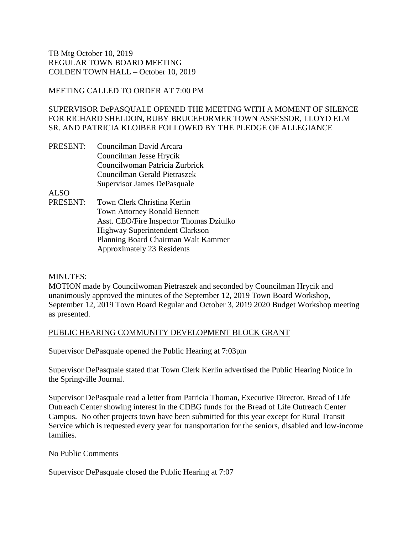# MEETING CALLED TO ORDER AT 7:00 PM

SUPERVISOR DePASQUALE OPENED THE MEETING WITH A MOMENT OF SILENCE FOR RICHARD SHELDON, RUBY BRUCEFORMER TOWN ASSESSOR, LLOYD ELM SR. AND PATRICIA KLOIBER FOLLOWED BY THE PLEDGE OF ALLEGIANCE

PRESENT: Councilman David Arcara Councilman Jesse Hrycik Councilwoman Patricia Zurbrick Councilman Gerald Pietraszek Supervisor James DePasquale

ALSO

PRESENT: Town Clerk Christina Kerlin Town Attorney Ronald Bennett Asst. CEO/Fire Inspector Thomas Dziulko Highway Superintendent Clarkson Planning Board Chairman Walt Kammer Approximately 23 Residents

MINUTES:

MOTION made by Councilwoman Pietraszek and seconded by Councilman Hrycik and unanimously approved the minutes of the September 12, 2019 Town Board Workshop, September 12, 2019 Town Board Regular and October 3, 2019 2020 Budget Workshop meeting as presented.

# PUBLIC HEARING COMMUNITY DEVELOPMENT BLOCK GRANT

Supervisor DePasquale opened the Public Hearing at 7:03pm

Supervisor DePasquale stated that Town Clerk Kerlin advertised the Public Hearing Notice in the Springville Journal.

Supervisor DePasquale read a letter from Patricia Thoman, Executive Director, Bread of Life Outreach Center showing interest in the CDBG funds for the Bread of Life Outreach Center Campus. No other projects town have been submitted for this year except for Rural Transit Service which is requested every year for transportation for the seniors, disabled and low-income families.

No Public Comments

Supervisor DePasquale closed the Public Hearing at 7:07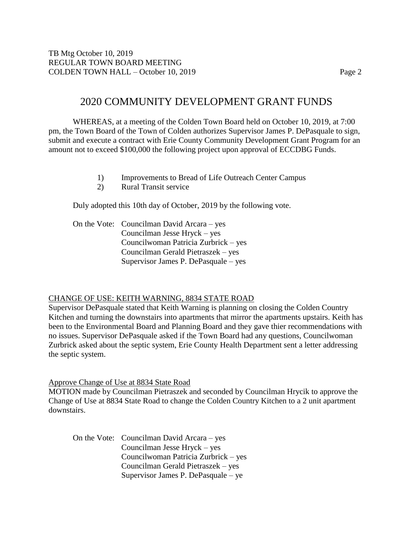# 2020 COMMUNITY DEVELOPMENT GRANT FUNDS

WHEREAS, at a meeting of the Colden Town Board held on October 10, 2019, at 7:00 pm, the Town Board of the Town of Colden authorizes Supervisor James P. DePasquale to sign, submit and execute a contract with Erie County Community Development Grant Program for an amount not to exceed \$100,000 the following project upon approval of ECCDBG Funds.

- 1) Improvements to Bread of Life Outreach Center Campus
- 2) Rural Transit service

Duly adopted this 10th day of October, 2019 by the following vote.

On the Vote: Councilman David Arcara – yes Councilman Jesse Hryck – yes Councilwoman Patricia Zurbrick – yes Councilman Gerald Pietraszek – yes Supervisor James P. DePasquale – yes

#### CHANGE OF USE: KEITH WARNING, 8834 STATE ROAD

Supervisor DePasquale stated that Keith Warning is planning on closing the Colden Country Kitchen and turning the downstairs into apartments that mirror the apartments upstairs. Keith has been to the Environmental Board and Planning Board and they gave thier recommendations with no issues. Supervisor DePasquale asked if the Town Board had any questions, Councilwoman Zurbrick asked about the septic system, Erie County Health Department sent a letter addressing the septic system.

#### Approve Change of Use at 8834 State Road

MOTION made by Councilman Pietraszek and seconded by Councilman Hrycik to approve the Change of Use at 8834 State Road to change the Colden Country Kitchen to a 2 unit apartment downstairs.

On the Vote: Councilman David Arcara – yes Councilman Jesse Hryck – yes Councilwoman Patricia Zurbrick – yes Councilman Gerald Pietraszek – yes Supervisor James P. DePasquale – ye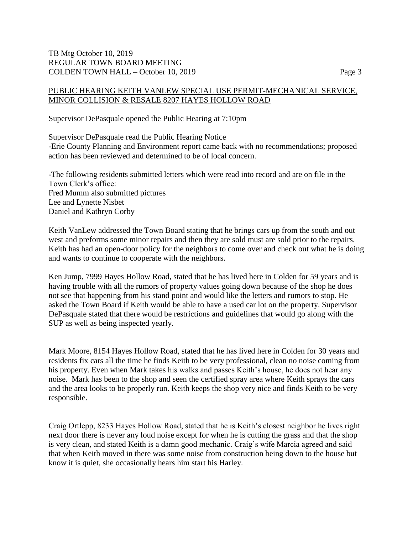## PUBLIC HEARING KEITH VANLEW SPECIAL USE PERMIT-MECHANICAL SERVICE, MINOR COLLISION & RESALE 8207 HAYES HOLLOW ROAD

Supervisor DePasquale opened the Public Hearing at 7:10pm

Supervisor DePasquale read the Public Hearing Notice -Erie County Planning and Environment report came back with no recommendations; proposed action has been reviewed and determined to be of local concern.

-The following residents submitted letters which were read into record and are on file in the Town Clerk's office: Fred Mumm also submitted pictures Lee and Lynette Nisbet Daniel and Kathryn Corby

Keith VanLew addressed the Town Board stating that he brings cars up from the south and out west and preforms some minor repairs and then they are sold must are sold prior to the repairs. Keith has had an open-door policy for the neighbors to come over and check out what he is doing and wants to continue to cooperate with the neighbors.

Ken Jump, 7999 Hayes Hollow Road, stated that he has lived here in Colden for 59 years and is having trouble with all the rumors of property values going down because of the shop he does not see that happening from his stand point and would like the letters and rumors to stop. He asked the Town Board if Keith would be able to have a used car lot on the property. Supervisor DePasquale stated that there would be restrictions and guidelines that would go along with the SUP as well as being inspected yearly.

Mark Moore, 8154 Hayes Hollow Road, stated that he has lived here in Colden for 30 years and residents fix cars all the time he finds Keith to be very professional, clean no noise coming from his property. Even when Mark takes his walks and passes Keith's house, he does not hear any noise. Mark has been to the shop and seen the certified spray area where Keith sprays the cars and the area looks to be properly run. Keith keeps the shop very nice and finds Keith to be very responsible.

Craig Ortlepp, 8233 Hayes Hollow Road, stated that he is Keith's closest neighbor he lives right next door there is never any loud noise except for when he is cutting the grass and that the shop is very clean, and stated Keith is a damn good mechanic. Craig's wife Marcia agreed and said that when Keith moved in there was some noise from construction being down to the house but know it is quiet, she occasionally hears him start his Harley.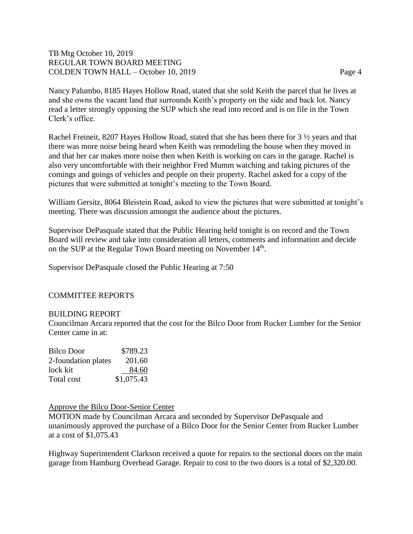Nancy Palumbo, 8185 Hayes Hollow Road, stated that she sold Keith the parcel that he lives at and she owns the vacant land that surrounds Keith's property on the side and back lot. Nancy read a letter strongly opposing the SUP which she read into record and is on file in the Town Clerk's office.

Rachel Freineit, 8207 Hayes Hollow Road, stated that she has been there for 3  $\frac{1}{2}$  years and that there was more noise being heard when Keith was remodeling the house when they moved in and that her car makes more noise then when Keith is working on cars in the garage. Rachel is also very uncomfortable with their neighbor Fred Mumm watching and taking pictures of the comings and goings of vehicles and people on their property. Rachel asked for a copy of the pictures that were submitted at tonight's meeting to the Town Board.

William Gersitz, 8064 Bleistein Road, asked to view the pictures that were submitted at tonight's meeting. There was discussion amongst the audience about the pictures.

Supervisor DePasquale stated that the Public Hearing held tonight is on record and the Town Board will review and take into consideration all letters, comments and information and decide on the SUP at the Regular Town Board meeting on November 14<sup>th</sup>.

Supervisor DePasquale closed the Public Hearing at 7:50

### COMMITTEE REPORTS

#### BUILDING REPORT

Councilman Arcara reported that the cost for the Bilco Door from Rucker Lumber for the Senior Center came in at:

| Bilco Door          | \$789.23   |
|---------------------|------------|
| 2-foundation plates | 201.60     |
| lock kit            | 84.60      |
| Total cost          | \$1,075.43 |

#### Approve the Bilco Door-Senior Center

MOTION made by Councilman Arcara and seconded by Supervisor DePasquale and unanimously approved the purchase of a Bilco Door for the Senior Center from Rucker Lumber at a cost of \$1,075.43

Highway Superintendent Clarkson received a quote for repairs to the sectional doors on the main garage from Hamburg Overhead Garage. Repair to cost to the two doors is a total of \$2,320.00.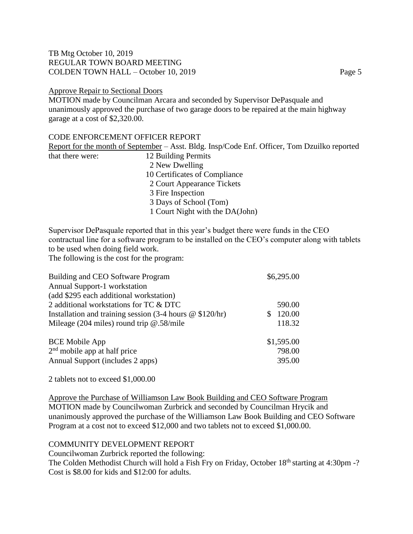#### Approve Repair to Sectional Doors

MOTION made by Councilman Arcara and seconded by Supervisor DePasquale and unanimously approved the purchase of two garage doors to be repaired at the main highway garage at a cost of \$2,320.00.

### CODE ENFORCEMENT OFFICER REPORT

Report for the month of September – Asst. Bldg. Insp/Code Enf. Officer, Tom Dzuilko reported that there were: 12 Building Permits 2 New Dwelling 10 Certificates of Compliance 2 Court Appearance Tickets 3 Fire Inspection 3 Days of School (Tom) 1 Court Night with the DA(John)

Supervisor DePasquale reported that in this year's budget there were funds in the CEO contractual line for a software program to be installed on the CEO's computer along with tablets to be used when doing field work.

The following is the cost for the program:

| Building and CEO Software Program                                                       | \$6,295.00 |
|-----------------------------------------------------------------------------------------|------------|
| Annual Support-1 workstation                                                            |            |
| (add \$295 each additional workstation)                                                 |            |
| 2 additional workstations for TC & DTC                                                  | 590.00     |
| Installation and training session $(3-4 \text{ hours } \textcircled{e} $120/\text{hr})$ | 120.00     |
| Mileage (204 miles) round trip $@.58/mile$                                              | 118.32     |
| <b>BCE Mobile App</b>                                                                   | \$1,595.00 |
| $2nd$ mobile app at half price                                                          | 798.00     |
| Annual Support (includes 2 apps)                                                        | 395.00     |

2 tablets not to exceed \$1,000.00

Approve the Purchase of Williamson Law Book Building and CEO Software Program MOTION made by Councilwoman Zurbrick and seconded by Councilman Hrycik and unanimously approved the purchase of the Williamson Law Book Building and CEO Software Program at a cost not to exceed \$12,000 and two tablets not to exceed \$1,000.00.

### COMMUNITY DEVELOPMENT REPORT

Councilwoman Zurbrick reported the following: The Colden Methodist Church will hold a Fish Fry on Friday, October 18<sup>th</sup> starting at 4:30pm -? Cost is \$8.00 for kids and \$12:00 for adults.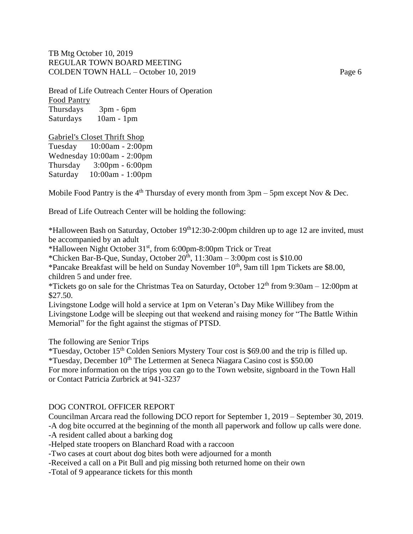Bread of Life Outreach Center Hours of Operation Food Pantry Thursdays 3pm - 6pm Saturdays 10am - 1pm

#### Gabriel's Closet Thrift Shop

Tuesday 10:00am - 2:00pm Wednesday 10:00am - 2:00pm Thursday 3:00pm - 6:00pm Saturday 10:00am - 1:00pm

Mobile Food Pantry is the 4<sup>th</sup> Thursday of every month from  $3pm - 5pm$  except Nov & Dec.

Bread of Life Outreach Center will be holding the following:

\*Halloween Bash on Saturday, October  $19<sup>th</sup>12:30-2:00$  pm children up to age 12 are invited, must be accompanied by an adult

\*Halloween Night October 31st, from 6:00pm-8:00pm Trick or Treat

\*Chicken Bar-B-Que, Sunday, October  $20^{\text{th}}$ ,  $11:30\text{am} - 3:00\text{pm cost}$  is \$10.00

\*Pancake Breakfast will be held on Sunday November 10<sup>th</sup>, 9am till 1pm Tickets are \$8.00, children 5 and under free.

\*Tickets go on sale for the Christmas Tea on Saturday, October  $12<sup>th</sup>$  from 9:30am – 12:00pm at \$27.50.

Livingstone Lodge will hold a service at 1pm on Veteran's Day Mike Willibey from the Livingstone Lodge will be sleeping out that weekend and raising money for "The Battle Within Memorial" for the fight against the stigmas of PTSD.

The following are Senior Trips

\*Tuesday, October 15th Colden Seniors Mystery Tour cost is \$69.00 and the trip is filled up. \*Tuesday, December  $10^{th}$  The Lettermen at Seneca Niagara Casino cost is \$50.00 For more information on the trips you can go to the Town website, signboard in the Town Hall or Contact Patricia Zurbrick at 941-3237

#### DOG CONTROL OFFICER REPORT

Councilman Arcara read the following DCO report for September 1, 2019 – September 30, 2019. -A dog bite occurred at the beginning of the month all paperwork and follow up calls were done.

-A resident called about a barking dog

-Helped state troopers on Blanchard Road with a raccoon

-Two cases at court about dog bites both were adjourned for a month

-Received a call on a Pit Bull and pig missing both returned home on their own

-Total of 9 appearance tickets for this month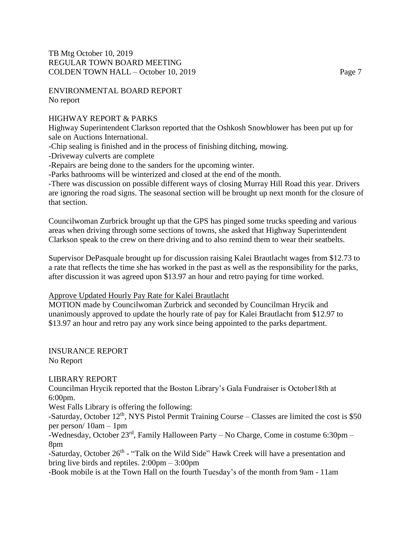ENVIRONMENTAL BOARD REPORT No report

# HIGHWAY REPORT & PARKS

Highway Superintendent Clarkson reported that the Oshkosh Snowblower has been put up for sale on Auctions International.

-Chip sealing is finished and in the process of finishing ditching, mowing.

-Driveway culverts are complete

-Repairs are being done to the sanders for the upcoming winter.

-Parks bathrooms will be winterized and closed at the end of the month.

-There was discussion on possible different ways of closing Murray Hill Road this year. Drivers are ignoring the road signs. The seasonal section will be brought up next month for the closure of that section.

Councilwoman Zurbrick brought up that the GPS has pinged some trucks speeding and various areas when driving through some sections of towns, she asked that Highway Superintendent Clarkson speak to the crew on there driving and to also remind them to wear their seatbelts.

Supervisor DePasquale brought up for discussion raising Kalei Brautlacht wages from \$12.73 to a rate that reflects the time she has worked in the past as well as the responsibility for the parks, after discussion it was agreed upon \$13.97 an hour and retro paying for time worked.

### Approve Updated Hourly Pay Rate for Kalei Brautlacht

MOTION made by Councilwoman Zurbrick and seconded by Councilman Hrycik and unanimously approved to update the hourly rate of pay for Kalei Brautlacht from \$12.97 to \$13.97 an hour and retro pay any work since being appointed to the parks department.

INSURANCE REPORT No Report

### LIBRARY REPORT

Councilman Hrycik reported that the Boston Library's Gala Fundraiser is October18th at 6:00pm.

West Falls Library is offering the following:

-Saturday, October  $12<sup>th</sup>$ , NYS Pistol Permit Training Course – Classes are limited the cost is \$50 per person/ 10am – 1pm

-Wednesday, October  $23^{\text{rd}}$ , Family Halloween Party – No Charge, Come in costume 6:30pm – 8pm

-Saturday, October 26<sup>th</sup> - "Talk on the Wild Side" Hawk Creek will have a presentation and bring live birds and reptiles. 2:00pm – 3:00pm

-Book mobile is at the Town Hall on the fourth Tuesday's of the month from 9am - 11am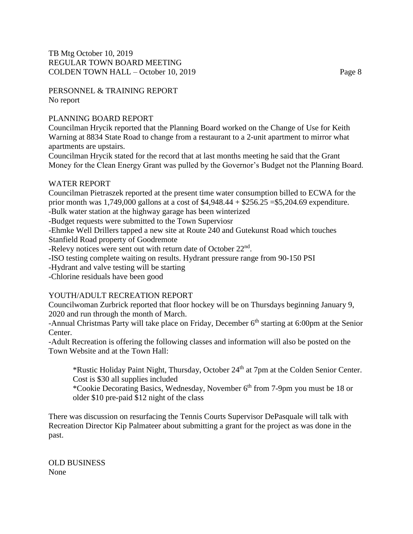PERSONNEL & TRAINING REPORT No report

# PLANNING BOARD REPORT

Councilman Hrycik reported that the Planning Board worked on the Change of Use for Keith Warning at 8834 State Road to change from a restaurant to a 2-unit apartment to mirror what apartments are upstairs.

Councilman Hrycik stated for the record that at last months meeting he said that the Grant Money for the Clean Energy Grant was pulled by the Governor's Budget not the Planning Board.

### WATER REPORT

Councilman Pietraszek reported at the present time water consumption billed to ECWA for the prior month was 1,749,000 gallons at a cost of \$4,948.44 + \$256.25 =\$5,204.69 expenditure.

-Bulk water station at the highway garage has been winterized

-Budget requests were submitted to the Town Superviosr

-Ehmke Well Drillers tapped a new site at Route 240 and Gutekunst Road which touches

Stanfield Road property of Goodremote

-Relevy notices were sent out with return date of October 22<sup>nd</sup>.

-ISO testing complete waiting on results. Hydrant pressure range from 90-150 PSI

-Hydrant and valve testing will be starting

-Chlorine residuals have been good

# YOUTH/ADULT RECREATION REPORT

Councilwoman Zurbrick reported that floor hockey will be on Thursdays beginning January 9, 2020 and run through the month of March.

-Annual Christmas Party will take place on Friday, December 6<sup>th</sup> starting at 6:00pm at the Senior Center.

-Adult Recreation is offering the following classes and information will also be posted on the Town Website and at the Town Hall:

\*Rustic Holiday Paint Night, Thursday, October 24th at 7pm at the Colden Senior Center. Cost is \$30 all supplies included

\*Cookie Decorating Basics, Wednesday, November 6th from 7-9pm you must be 18 or older \$10 pre-paid \$12 night of the class

There was discussion on resurfacing the Tennis Courts Supervisor DePasquale will talk with Recreation Director Kip Palmateer about submitting a grant for the project as was done in the past.

OLD BUSINESS None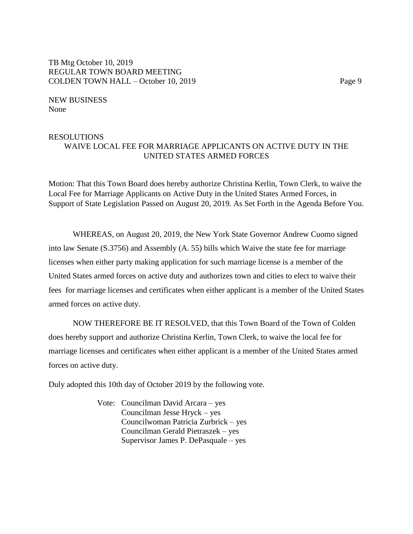NEW BUSINESS None

### RESOLUTIONS WAIVE LOCAL FEE FOR MARRIAGE APPLICANTS ON ACTIVE DUTY IN THE UNITED STATES ARMED FORCES

Motion: That this Town Board does hereby authorize Christina Kerlin, Town Clerk, to waive the Local Fee for Marriage Applicants on Active Duty in the United States Armed Forces, in Support of State Legislation Passed on August 20, 2019. As Set Forth in the Agenda Before You.

WHEREAS, on August 20, 2019, the New York State Governor Andrew Cuomo signed into law Senate (S.3756) and Assembly (A. 55) bills which Waive the state fee for marriage licenses when either party making application for such marriage license is a member of the United States armed forces on active duty and authorizes town and cities to elect to waive their fees for marriage licenses and certificates when either applicant is a member of the United States armed forces on active duty.

NOW THEREFORE BE IT RESOLVED, that this Town Board of the Town of Colden does hereby support and authorize Christina Kerlin, Town Clerk, to waive the local fee for marriage licenses and certificates when either applicant is a member of the United States armed forces on active duty.

Duly adopted this 10th day of October 2019 by the following vote.

Vote: Councilman David Arcara – yes Councilman Jesse Hryck – yes Councilwoman Patricia Zurbrick – yes Councilman Gerald Pietraszek – yes Supervisor James P. DePasquale – yes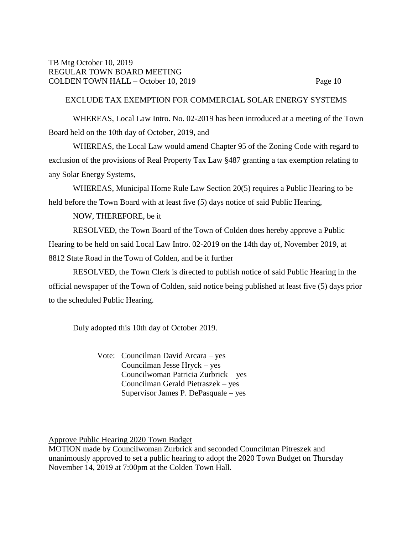# EXCLUDE TAX EXEMPTION FOR COMMERCIAL SOLAR ENERGY SYSTEMS

WHEREAS, Local Law Intro. No. 02-2019 has been introduced at a meeting of the Town Board held on the 10th day of October, 2019, and

WHEREAS, the Local Law would amend Chapter 95 of the Zoning Code with regard to exclusion of the provisions of Real Property Tax Law §487 granting a tax exemption relating to any Solar Energy Systems,

WHEREAS, Municipal Home Rule Law Section 20(5) requires a Public Hearing to be held before the Town Board with at least five (5) days notice of said Public Hearing,

NOW, THEREFORE, be it

RESOLVED, the Town Board of the Town of Colden does hereby approve a Public Hearing to be held on said Local Law Intro. 02-2019 on the 14th day of, November 2019, at 8812 State Road in the Town of Colden, and be it further

RESOLVED, the Town Clerk is directed to publish notice of said Public Hearing in the official newspaper of the Town of Colden, said notice being published at least five (5) days prior to the scheduled Public Hearing.

Duly adopted this 10th day of October 2019.

Vote: Councilman David Arcara – yes Councilman Jesse Hryck – yes Councilwoman Patricia Zurbrick – yes Councilman Gerald Pietraszek – yes Supervisor James P. DePasquale – yes

Approve Public Hearing 2020 Town Budget

MOTION made by Councilwoman Zurbrick and seconded Councilman Pitreszek and unanimously approved to set a public hearing to adopt the 2020 Town Budget on Thursday November 14, 2019 at 7:00pm at the Colden Town Hall.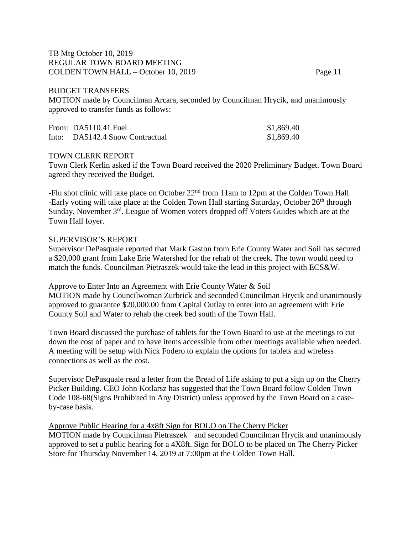#### BUDGET TRANSFERS

MOTION made by Councilman Arcara, seconded by Councilman Hrycik, and unanimously approved to transfer funds as follows:

| From: $DA5110.41$ Fuel          | \$1,869.40 |
|---------------------------------|------------|
| Into: DA5142.4 Snow Contractual | \$1,869.40 |

#### TOWN CLERK REPORT

Town Clerk Kerlin asked if the Town Board received the 2020 Preliminary Budget. Town Board agreed they received the Budget.

-Flu shot clinic will take place on October 22<sup>nd</sup> from 11am to 12pm at the Colden Town Hall. -Early voting will take place at the Colden Town Hall starting Saturday, October 26<sup>th</sup> through Sunday, November 3<sup>rd</sup>. League of Women voters dropped off Voters Guides which are at the Town Hall foyer.

#### SUPERVISOR'S REPORT

Supervisor DePasquale reported that Mark Gaston from Erie County Water and Soil has secured a \$20,000 grant from Lake Erie Watershed for the rehab of the creek. The town would need to match the funds. Councilman Pietraszek would take the lead in this project with ECS&W.

#### Approve to Enter Into an Agreement with Erie County Water & Soil

MOTION made by Councilwoman Zurbrick and seconded Councilman Hrycik and unanimously approved to guarantee \$20,000.00 from Capital Outlay to enter into an agreement with Erie County Soil and Water to rehab the creek bed south of the Town Hall.

Town Board discussed the purchase of tablets for the Town Board to use at the meetings to cut down the cost of paper and to have items accessible from other meetings available when needed. A meeting will be setup with Nick Fodero to explain the options for tablets and wireless connections as well as the cost.

Supervisor DePasquale read a letter from the Bread of Life asking to put a sign up on the Cherry Picker Building. CEO John Kotlarsz has suggested that the Town Board follow Colden Town Code 108-68(Signs Prohibited in Any District) unless approved by the Town Board on a caseby-case basis.

#### Approve Public Hearing for a 4x8ft Sign for BOLO on The Cherry Picker

MOTION made by Councilman Pietraszek and seconded Councilman Hrycik and unanimously approved to set a public hearing for a 4X8ft. Sign for BOLO to be placed on The Cherry Picker Store for Thursday November 14, 2019 at 7:00pm at the Colden Town Hall.